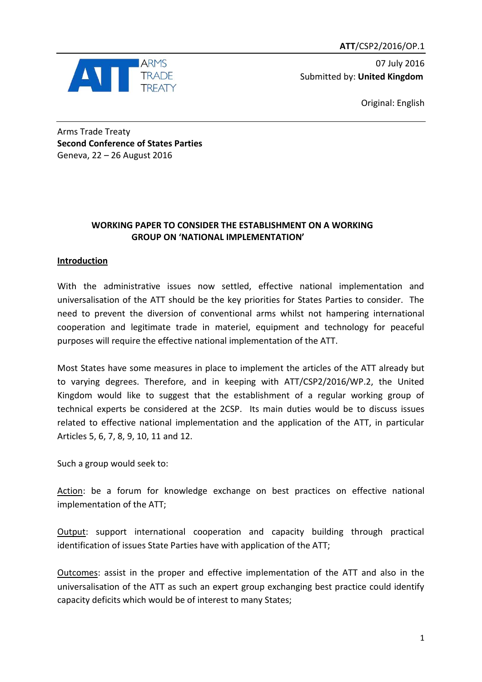**ATT**/CSP2/2016/OP.1



07 July 2016 Submitted by: **United Kingdom**

Original: English

Arms Trade Treaty **Second Conference of States Parties** Geneva, 22 – 26 August 2016

# **WORKING PAPER TO CONSIDER THE ESTABLISHMENT ON A WORKING GROUP ON 'NATIONAL IMPLEMENTATION'**

# **Introduction**

With the administrative issues now settled, effective national implementation and universalisation of the ATT should be the key priorities for States Parties to consider. The need to prevent the diversion of conventional arms whilst not hampering international cooperation and legitimate trade in materiel, equipment and technology for peaceful purposes will require the effective national implementation of the ATT.

Most States have some measures in place to implement the articles of the ATT already but to varying degrees. Therefore, and in keeping with ATT/CSP2/2016/WP.2, the United Kingdom would like to suggest that the establishment of a regular working group of technical experts be considered at the 2CSP. Its main duties would be to discuss issues related to effective national implementation and the application of the ATT, in particular Articles 5, 6, 7, 8, 9, 10, 11 and 12.

Such a group would seek to:

Action: be a forum for knowledge exchange on best practices on effective national implementation of the ATT;

Output: support international cooperation and capacity building through practical identification of issues State Parties have with application of the ATT;

Outcomes: assist in the proper and effective implementation of the ATT and also in the universalisation of the ATT as such an expert group exchanging best practice could identify capacity deficits which would be of interest to many States;